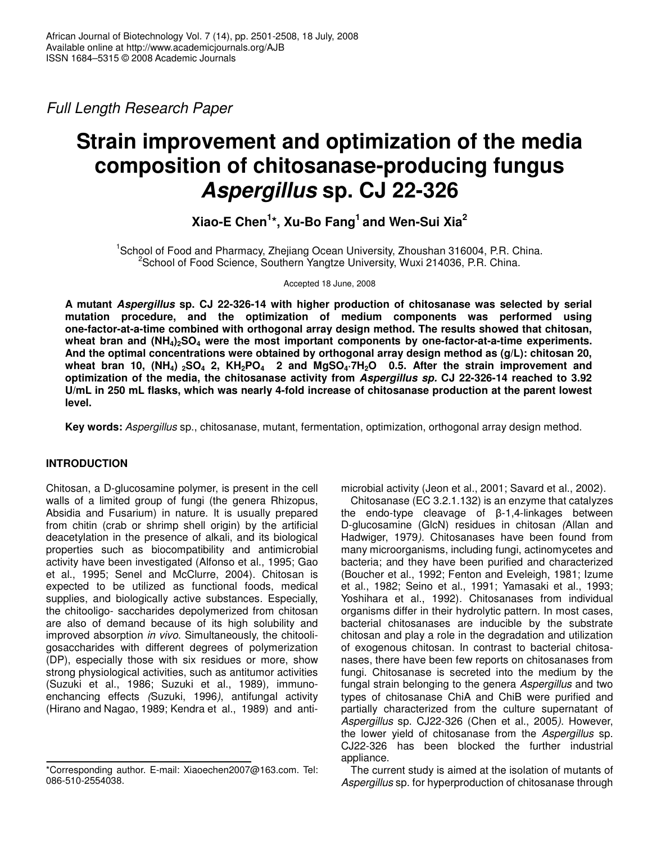*Full Length Research Paper*

# **Strain improvement and optimization of the media composition of chitosanase-producing fungus** *Aspergillus* **sp. CJ 22-326**

**Xiao-E Chen 1 \*, Xu-Bo Fang 1 and Wen-Sui Xia 2**

<sup>1</sup>School of Food and Pharmacy, Zhejiang Ocean University, Zhoushan 316004, P.R. China. <sup>2</sup>School of Food Science, Southern Yangtze University, Wuxi 214036, P.R. China.

Accepted 18 June, 2008

**A mutant** *Aspergillus* **sp. CJ 22-326-14 with higher production of chitosanase was selected by serial mutation procedure, and the optimization of medium components was performed using one-factor-at-a-time combined with orthogonal array design method. The results showed that chitosan, wheat bran and (NH4)2SO<sup>4</sup> were the most important components by one-factor-at-a-time experiments. And the optimal concentrations were obtained by orthogonal array design method as (g/L): chitosan 20,** wheat bran 10, (NH<sub>4</sub>) <sub>2</sub>SO<sub>4</sub> 2, KH<sub>2</sub>PO<sub>4</sub> 2 and MgSO<sub>4</sub>.7H<sub>2</sub>O 0.5. After the strain improvement and **optimization of the media, the chitosanase activity from** *Aspergillus sp.* **CJ 22-326-14 reached to 3.92 U/mL in 250 mL flasks, which was nearly 4-fold increase of chitosanase production at the parent lowest level.**

**Key words:** *Aspergillus* sp., chitosanase, mutant, fermentation, optimization, orthogonal array design method.

## **INTRODUCTION**

Chitosan, a D-glucosamine polymer, is present in the cell walls of a limited group of fungi (the genera Rhizopus, Absidia and Fusarium) in nature. It is usually prepared from chitin (crab or shrimp shell origin) by the artificial deacetylation in the presence of alkali, and its biological properties such as biocompatibility and antimicrobial activity have been investigated (Alfonso et al., 1995; Gao et al., 1995; Senel and McClurre, 2004). Chitosan is expected to be utilized as functional foods, medical supplies, and biologically active substances. Especially, the chitooligo- saccharides depolymerized from chitosan are also of demand because of its high solubility and improved absorption *in vivo*. Simultaneously, the chitooligosaccharides with different degrees of polymerization (DP), especially those with six residues or more, show strong physiological activities, such as antitumor activities (Suzuki et al., 1986; Suzuki et al., 1989)*,* immunoenchancing effects *(*Suzuki, 1996*)*, antifungal activity (Hirano and Nagao, 1989; Kendra et al., 1989) and antimicrobial activity (Jeon et al., 2001; Savard et al., 2002)*.*

Chitosanase (EC 3.2.1.132) is an enzyme that catalyzes the endo-type cleavage of  $\beta$ -1,4-linkages between D-glucosamine (GlcN) residues in chitosan *(*Allan and Hadwiger, 1979*)*. Chitosanases have been found from many microorganisms, including fungi, actinomycetes and bacteria; and they have been purified and characterized (Boucher et al., 1992; Fenton and Eveleigh, 1981; Izume et al., 1982; Seino et al., 1991; Yamasaki et al., 1993; Yoshihara et al., 1992)*.* Chitosanases from individual organisms differ in their hydrolytic pattern. In most cases, bacterial chitosanases are inducible by the substrate chitosan and play a role in the degradation and utilization of exogenous chitosan. In contrast to bacterial chitosanases, there have been few reports on chitosanases from fungi. Chitosanase is secreted into the medium by the fungal strain belonging to the genera *Aspergillus* and two types of chitosanase ChiA and ChiB were purified and partially characterized from the culture supernatant of *Aspergillus* sp. CJ22-326 (Chen et al., 2005*)*. However, the lower yield of chitosanase from the *Aspergillus* sp. CJ22-326 has been blocked the further industrial appliance.

The current study is aimed at the isolation of mutants of *Aspergillus* sp. for hyperproduction of chitosanase through

<sup>\*</sup>Corresponding author. E-mail: Xiaoechen2007@163.com. Tel: 086-510-2554038.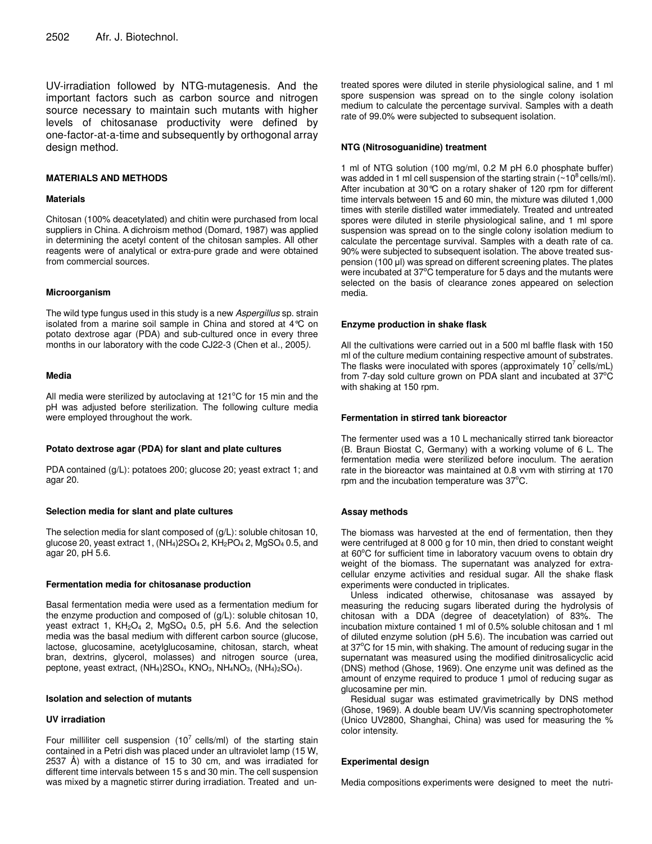UV-irradiation followed by NTG-mutagenesis. And the important factors such as carbon source and nitrogen source necessary to maintain such mutants with higher levels of chitosanase productivity were defined by one-factor-at-a-time and subsequently by orthogonal array design method.

#### **MATERIALS AND METHODS**

#### **Materials**

Chitosan (100% deacetylated) and chitin were purchased from local suppliers in China. A dichroism method (Domard, 1987) was applied in determining the acetyl content of the chitosan samples. All other reagents were of analytical or extra-pure grade and were obtained from commercial sources.

#### **Microorganism**

The wild type fungus used in this study is a new *Aspergillus* sp. strain isolated from a marine soil sample in China and stored at 4°C on potato dextrose agar (PDA) and sub-cultured once in every three months in our laboratory with the code CJ22-3 (Chen et al., 2005*)*.

#### **Media**

All media were sterilized by autoclaving at  $121^{\circ}$ C for 15 min and the pH was adjusted before sterilization. The following culture media were employed throughout the work.

#### **Potato dextrose agar (PDA) for slant and plate cultures**

PDA contained (g/L): potatoes 200; glucose 20; yeast extract 1; and agar 20.

#### **Selection media for slant and plate cultures**

The selection media for slant composed of (g/L): soluble chitosan 10, glucose 20, yeast extract 1,  $(NH_4)2SO_4 2$ ,  $KH_2PO_4 2$ ,  $MgSO_4 0.5$ , and agar 20, pH 5.6.

#### **Fermentation media for chitosanase production**

Basal fermentation media were used as a fermentation medium for the enzyme production and composed of (g/L): soluble chitosan 10, yeast extract 1,  $KH<sub>2</sub>O<sub>4</sub>$  2, MgSO<sub>4</sub> 0.5, pH 5.6. And the selection media was the basal medium with different carbon source (glucose, lactose, glucosamine, acetylglucosamine, chitosan, starch, wheat bran, dextrins, glycerol, molasses) and nitrogen source (urea, peptone, yeast extract, (NH<sub>4</sub>)2SO<sub>4</sub>, KNO<sub>3</sub>, NH<sub>4</sub>NO<sub>3</sub>, (NH<sub>4</sub>)<sub>2</sub>SO<sub>4</sub>).

## **Isolation and selection of mutants**

#### **UV irradiation**

Four milliliter cell suspension (10<sup>7</sup> cells/ml) of the starting stain contained in a Petri dish was placed under an ultraviolet lamp (15 W, 2537 Å) with a distance of 15 to 30 cm, and was irradiated for different time intervals between 15 s and 30 min. The cell suspension was mixed by a magnetic stirrer during irradiation. Treated and untreated spores were diluted in sterile physiological saline, and 1 ml spore suspension was spread on to the single colony isolation medium to calculate the percentage survival. Samples with a death rate of 99.0% were subjected to subsequent isolation.

## **NTG (Nitrosoguanidine) treatment**

1 ml of NTG solution (100 mg/ml, 0.2 M pH 6.0 phosphate buffer) was added in 1 ml cell suspension of the starting strain ( $\sim$ 10 $^8$ cells/ml). After incubation at 30°C on a rotary shaker of 120 rpm for different time intervals between 15 and 60 min, the mixture was diluted 1,000 times with sterile distilled water immediately. Treated and untreated spores were diluted in sterile physiological saline, and 1 ml spore suspension was spread on to the single colony isolation medium to calculate the percentage survival. Samples with a death rate of ca. 90% were subjected to subsequent isolation. The above treated suspension (100 µl) was spread on different screening plates. The plates were incubated at  $37^{\circ}$ C temperature for 5 days and the mutants were selected on the basis of clearance zones appeared on selection media.

#### **Enzyme production in shake flask**

All the cultivations were carried out in a 500 ml baffle flask with 150 ml of the culture medium containing respective amount of substrates. The flasks were inoculated with spores (approximately  $10^7$  cells/mL) from 7-day sold culture grown on PDA slant and incubated at  $37^{\circ}$ C with shaking at 150 rpm.

#### **Fermentation in stirred tank bioreactor**

The fermenter used was a 10 L mechanically stirred tank bioreactor (B. Braun Biostat C, Germany) with a working volume of 6 L. The fermentation media were sterilized before inoculum. The aeration rate in the bioreactor was maintained at 0.8 vvm with stirring at 170 rpm and the incubation temperature was  $37^{\circ}$ C.

## **Assay methods**

The biomass was harvested at the end of fermentation, then they were centrifuged at 8 000 g for 10 min, then dried to constant weight at 60°C for sufficient time in laboratory vacuum ovens to obtain dry weight of the biomass. The supernatant was analyzed for extracellular enzyme activities and residual sugar. All the shake flask experiments were conducted in triplicates.

Unless indicated otherwise, chitosanase was assayed by measuring the reducing sugars liberated during the hydrolysis of chitosan with a DDA (degree of deacetylation) of 83%. The incubation mixture contained 1 ml of 0.5% soluble chitosan and 1 ml of diluted enzyme solution (pH 5.6). The incubation was carried out at 37°C for 15 min, with shaking. The amount of reducing sugar in the supernatant was measured using the modified dinitrosalicyclic acid (DNS) method (Ghose, 1969). One enzyme unit was defined as the amount of enzyme required to produce 1 µmol of reducing sugar as glucosamine per min.

Residual sugar was estimated gravimetrically by DNS method (Ghose, 1969). A double beam UV/Vis scanning spectrophotometer (Unico UV2800, Shanghai, China) was used for measuring the % color intensity.

## **Experimental design**

Media compositions experiments were designed to meet the nutri-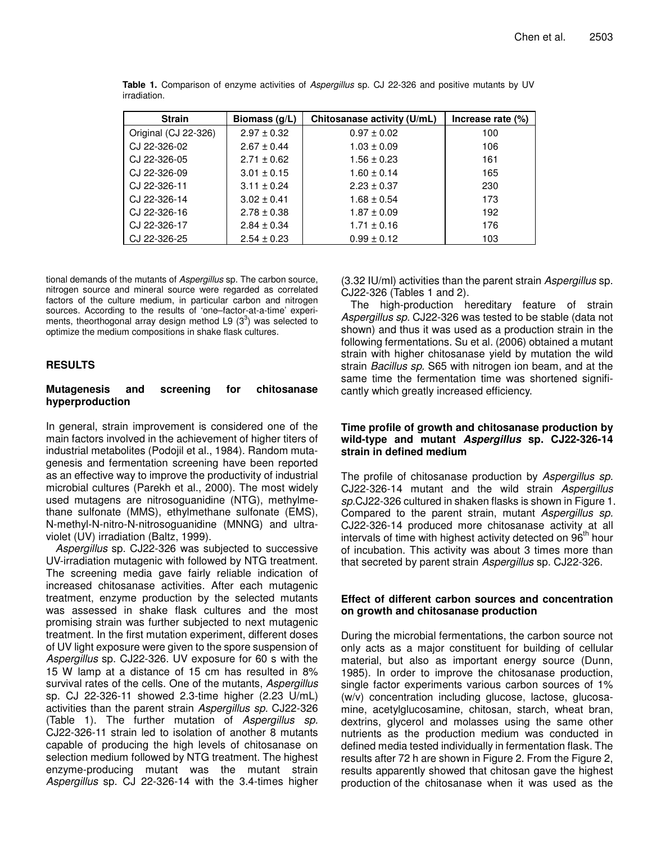| <b>Strain</b>        | Biomass $(g/L)$ | Chitosanase activity (U/mL) | Increase rate (%) |
|----------------------|-----------------|-----------------------------|-------------------|
| Original (CJ 22-326) | $2.97 \pm 0.32$ | $0.97 \pm 0.02$             | 100               |
| CJ 22-326-02         | $2.67 \pm 0.44$ | $1.03 \pm 0.09$             | 106               |
| CJ 22-326-05         | $2.71 \pm 0.62$ | $1.56 \pm 0.23$             | 161               |
| CJ 22-326-09         | $3.01 \pm 0.15$ | $1.60 \pm 0.14$             | 165               |
| CJ 22-326-11         | $3.11 \pm 0.24$ | $2.23 \pm 0.37$             | 230               |
| CJ 22-326-14         | $3.02 \pm 0.41$ | $1.68 \pm 0.54$             | 173               |
| CJ 22-326-16         | $2.78 \pm 0.38$ | $1.87 \pm 0.09$             | 192               |
| CJ 22-326-17         | $2.84 \pm 0.34$ | $1.71 \pm 0.16$             | 176               |
| CJ 22-326-25         | $2.54 \pm 0.23$ | $0.99 \pm 0.12$             | 103               |

**Table 1.** Comparison of enzyme activities of *Aspergillus* sp. CJ 22-326 and positive mutants by UV irradiation.

tional demands of the mutants of *Aspergillus* sp. The carbon source, nitrogen source and mineral source were regarded as correlated factors of the culture medium, in particular carbon and nitrogen sources. According to the results of 'one–factor-at-a-time' experiments, theorthogonal array design method L9  $(3^3)$  was selected to optimize the medium compositions in shake flask cultures.

## **RESULTS**

## **Mutagenesis and screening for chitosanase hyperproduction**

In general, strain improvement is considered one of the main factors involved in the achievement of higher titers of industrial metabolites (Podojil et al., 1984). Random mutagenesis and fermentation screening have been reported as an effective way to improve the productivity of industrial microbial cultures (Parekh et al., 2000). The most widely used mutagens are nitrosoguanidine (NTG), methylmethane sulfonate (MMS), ethylmethane sulfonate (EMS), N-methyl-N-nitro-N-nitrosoguanidine (MNNG) and ultraviolet (UV) irradiation (Baltz, 1999).

*Aspergillus* sp. CJ22-326 was subjected to successive UV-irradiation mutagenic with followed by NTG treatment. The screening media gave fairly reliable indication of increased chitosanase activities. After each mutagenic treatment, enzyme production by the selected mutants was assessed in shake flask cultures and the most promising strain was further subjected to next mutagenic treatment. In the first mutation experiment, different doses of UV light exposure were given to the spore suspension of *Aspergillus* sp. CJ22-326. UV exposure for 60 s with the 15 W lamp at a distance of 15 cm has resulted in 8% survival rates of the cells. One of the mutants, *Aspergillus* sp. CJ 22-326-11 showed 2.3-time higher (2.23 U/mL) activities than the parent strain *Aspergillus sp.* CJ22-326 (Table 1). The further mutation of *Aspergillus sp.* CJ22-326-11 strain led to isolation of another 8 mutants capable of producing the high levels of chitosanase on selection medium followed by NTG treatment. The highest enzyme-producing mutant was the mutant strain *Aspergillus* sp. CJ 22-326-14 with the 3.4-times higher

(3.32 IU/ml) activities than the parent strain *Aspergillus* sp. CJ22-326 (Tables 1 and 2).

The high-production hereditary feature of strain *Aspergillus sp.* CJ22-326 was tested to be stable (data not shown) and thus it was used as a production strain in the following fermentations. Su et al. (2006) obtained a mutant strain with higher chitosanase yield by mutation the wild strain *Bacillus sp.* S65 with nitrogen ion beam, and at the same time the fermentation time was shortened significantly which greatly increased efficiency.

## **Time profile of growth and chitosanase production by wild-type and mutant** *Aspergillus* **sp. CJ22-326-14 strain in defined medium**

The profile of chitosanase production by *Aspergillus sp.* CJ22-326-14 mutant and the wild strain *Aspergillus sp.*CJ22-326 cultured in shaken flasks is shown in Figure 1. Compared to the parent strain, mutant *Aspergillus sp.* CJ22-326-14 produced more chitosanase activity at all intervals of time with highest activity detected on 96<sup>th</sup> hour of incubation. This activity was about 3 times more than that secreted by parent strain *Aspergillus* sp. CJ22-326.

## **Effect of different carbon sources and concentration on growth and chitosanase production**

During the microbial fermentations, the carbon source not only acts as a major constituent for building of cellular material, but also as important energy source (Dunn, 1985). In order to improve the chitosanase production, single factor experiments various carbon sources of 1% (w/v) concentration including glucose, lactose, glucosamine, acetylglucosamine, chitosan, starch, wheat bran, dextrins, glycerol and molasses using the same other nutrients as the production medium was conducted in defined media tested individually in fermentation flask. The results after 72 h are shown in Figure 2. From the Figure 2, results apparently showed that chitosan gave the highest production of the chitosanase when it was used as the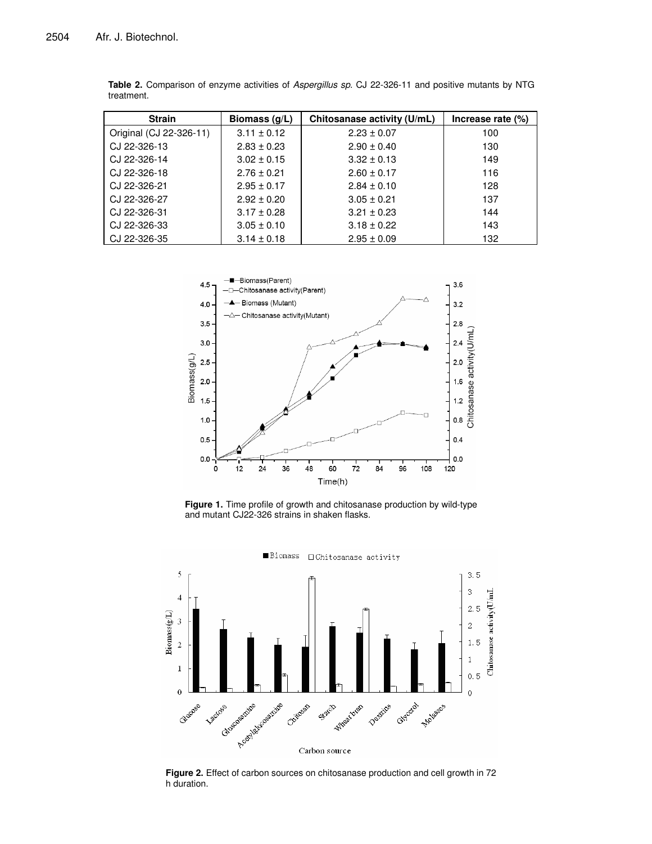| <b>Strain</b>           | Biomass (g/L)   | Chitosanase activity (U/mL) | Increase rate (%) |
|-------------------------|-----------------|-----------------------------|-------------------|
| Original (CJ 22-326-11) | $3.11 \pm 0.12$ | $2.23 \pm 0.07$             | 100               |
| CJ 22-326-13            | $2.83 \pm 0.23$ | $2.90 \pm 0.40$             | 130               |
| CJ 22-326-14            | $3.02 \pm 0.15$ | $3.32 \pm 0.13$             | 149               |
| CJ 22-326-18            | $2.76 \pm 0.21$ | $2.60 \pm 0.17$             | 116               |
| CJ 22-326-21            | $2.95 \pm 0.17$ | $2.84 \pm 0.10$             | 128               |
| CJ 22-326-27            | $2.92 \pm 0.20$ | $3.05 \pm 0.21$             | 137               |
| CJ 22-326-31            | $3.17 \pm 0.28$ | $3.21 \pm 0.23$             | 144               |
| CJ 22-326-33            | $3.05 \pm 0.10$ | $3.18 \pm 0.22$             | 143               |
| CJ 22-326-35            | $3.14 \pm 0.18$ | $2.95 \pm 0.09$             | 132               |

**Table 2.** Comparison of enzyme activities of *Aspergillus sp.* CJ 22-326-11 and positive mutants by NTG treatment.



**Figure 1.** Time profile of growth and chitosanase production by wild-type and mutant CJ22-326 strains in shaken flasks.



**Figure 2.** Effect of carbon sources on chitosanase production and cell growth in 72 h duration.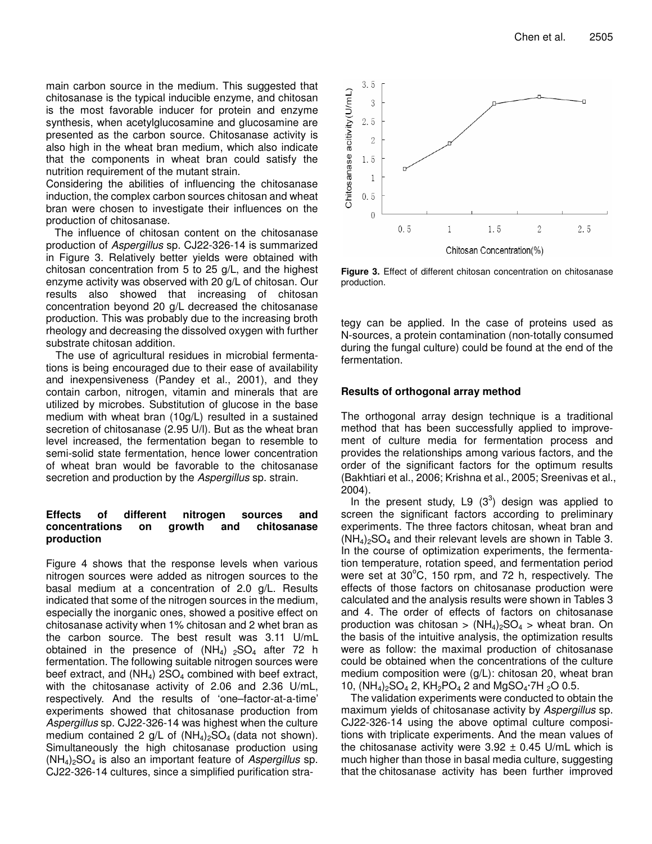main carbon source in the medium. This suggested that chitosanase is the typical inducible enzyme, and chitosan is the most favorable inducer for protein and enzyme synthesis, when acetylglucosamine and glucosamine are presented as the carbon source. Chitosanase activity is also high in the wheat bran medium, which also indicate that the components in wheat bran could satisfy the nutrition requirement of the mutant strain.

Considering the abilities of influencing the chitosanase induction, the complex carbon sources chitosan and wheat bran were chosen to investigate their influences on the production of chitosanase.

The influence of chitosan content on the chitosanase production of *Aspergillus* sp. CJ22-326-14 is summarized in Figure 3. Relatively better yields were obtained with chitosan concentration from 5 to 25 g/L, and the highest enzyme activity was observed with 20 g/L of chitosan. Our results also showed that increasing of chitosan concentration beyond 20 g/L decreased the chitosanase production. This was probably due to the increasing broth rheology and decreasing the dissolved oxygen with further substrate chitosan addition.

The use of agricultural residues in microbial fermentations is being encouraged due to their ease of availability and inexpensiveness (Pandey et al., 2001), and they contain carbon, nitrogen, vitamin and minerals that are utilized by microbes. Substitution of glucose in the base medium with wheat bran (10g/L) resulted in a sustained secretion of chitosanase (2.95 U/l). But as the wheat bran level increased, the fermentation began to resemble to semi-solid state fermentation, hence lower concentration of wheat bran would be favorable to the chitosanase secretion and production by the *Aspergillus* sp. strain.

## **Effects of different nitrogen sources and concentrations on growth and chitosanase production**

Figure 4 shows that the response levels when various nitrogen sources were added as nitrogen sources to the basal medium at a concentration of 2.0 g/L. Results indicated that some of the nitrogen sources in the medium, especially the inorganic ones, showed a positive effect on chitosanase activity when 1% chitosan and 2 whet bran as the carbon source. The best result was 3.11 U/mL obtained in the presence of  $(NH_4)$  <sub>2</sub>SO<sub>4</sub> after 72 h fermentation. The following suitable nitrogen sources were beef extract, and  $(NH_4)$  2SO<sub>4</sub> combined with beef extract, with the chitosanase activity of 2.06 and 2.36 U/mL, respectively. And the results of 'one–factor-at-a-time' experiments showed that chitosanase production from *Aspergillus* sp. CJ22-326-14 was highest when the culture medium contained 2 g/L of  $(NH_4)_2SO_4$  (data not shown). Simultaneously the high chitosanase production using (NH4)2SO<sup>4</sup> is also an important feature of *Aspergillus* sp. CJ22-326-14 cultures, since a simplified purification stra-



**Figure 3.** Effect of different chitosan concentration on chitosanase production.

tegy can be applied. In the case of proteins used as N-sources, a protein contamination (non-totally consumed during the fungal culture) could be found at the end of the fermentation.

## **Results of orthogonal array method**

The orthogonal array design technique is a traditional method that has been successfully applied to improvement of culture media for fermentation process and provides the relationships among various factors, and the order of the significant factors for the optimum results (Bakhtiari et al., 2006; Krishna et al., 2005; Sreenivas et al., 2004).

In the present study, L9  $(3^3)$  design was applied to screen the significant factors according to preliminary experiments. The three factors chitosan, wheat bran and  $(NH_4)_2SO_4$  and their relevant levels are shown in Table 3. In the course of optimization experiments, the fermentation temperature, rotation speed, and fermentation period were set at 30°C, 150 rpm, and 72 h, respectively. The effects of those factors on chitosanase production were calculated and the analysis results were shown in Tables 3 and 4. The order of effects of factors on chitosanase production was chitosan >  $(NH_4)_2SO_4$  > wheat bran. On the basis of the intuitive analysis, the optimization results were as follow: the maximal production of chitosanase could be obtained when the concentrations of the culture medium composition were (g/L): chitosan 20, wheat bran 10,  $(NH_4)_2SO_4$  2,  $KH_2PO_4$  2 and  $MqSO_4 \cdot 7H_2O$  0.5.

The validation experiments were conducted to obtain the maximum yields of chitosanase activity by *Aspergillus* sp. CJ22-326-14 using the above optimal culture compositions with triplicate experiments. And the mean values of the chitosanase activity were  $3.92 \pm 0.45$  U/mL which is much higher than those in basal media culture, suggesting that the chitosanase activity has been further improved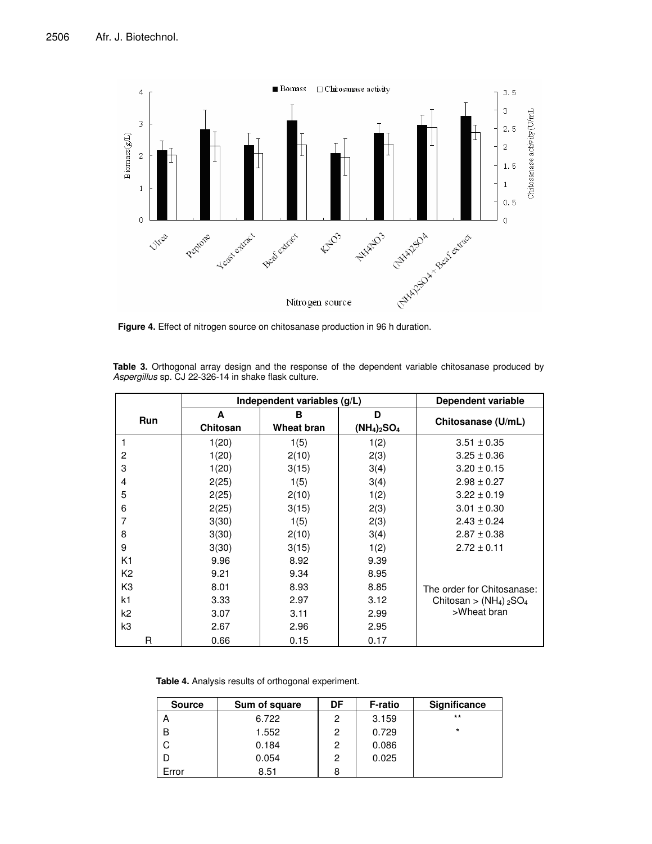

**Figure 4.** Effect of nitrogen source on chitosanase production in 96 h duration.

|            | Independent variables (g/L) |            |                | Dependent variable                               |
|------------|-----------------------------|------------|----------------|--------------------------------------------------|
| <b>Run</b> | A                           | в          |                |                                                  |
|            | Chitosan                    | Wheat bran | $(NH_4)_2SO_4$ | Chitosanase (U/mL)                               |
|            | 1(20)                       | 1(5)       | 1(2)           | $3.51 \pm 0.35$                                  |
| 2          | 1(20)                       | 2(10)      | 2(3)           | $3.25 \pm 0.36$                                  |
| 3          | 1(20)                       | 3(15)      | 3(4)           | $3.20 \pm 0.15$                                  |
| 4          | 2(25)                       | 1(5)       | 3(4)           | $2.98 \pm 0.27$                                  |
| 5          | 2(25)                       | 2(10)      | 1(2)           | $3.22 \pm 0.19$                                  |
| 6          | 2(25)                       | 3(15)      | 2(3)           | $3.01 \pm 0.30$                                  |
| 7          | 3(30)                       | 1(5)       | 2(3)           | $2.43 \pm 0.24$                                  |
| 8          | 3(30)                       | 2(10)      | 3(4)           | $2.87 \pm 0.38$                                  |
| 9          | 3(30)                       | 3(15)      | 1(2)           | $2.72 \pm 0.11$                                  |
| K1         | 9.96                        | 8.92       | 9.39           |                                                  |
| K2         | 9.21                        | 9.34       | 8.95           |                                                  |
| K3         | 8.01                        | 8.93       | 8.85           | The order for Chitosanase:                       |
| k1         | 3.33                        | 2.97       | 3.12           | Chitosan > $(NH_4)$ <sub>2</sub> SO <sub>4</sub> |
| k2         | 3.07                        | 3.11       | 2.99           | >Wheat bran                                      |
| k3         | 2.67                        | 2.96       | 2.95           |                                                  |
| R          | 0.66                        | 0.15       | 0.17           |                                                  |

**Table 3.** Orthogonal array design and the response of the dependent variable chitosanase produced by *Aspergillus* sp. CJ 22-326-14 in shake flask culture.

**Table 4.** Analysis results of orthogonal experiment.

| <b>Source</b> | Sum of square | DF | <b>F-ratio</b> | Significance |
|---------------|---------------|----|----------------|--------------|
| А             | 6.722         | 2  | 3.159          | $***$        |
| B             | 1.552         | 2  | 0.729          | $\star$      |
|               | 0.184         | 2  | 0.086          |              |
|               | 0.054         | 2  | 0.025          |              |
| Error         | 8.51          | 8  |                |              |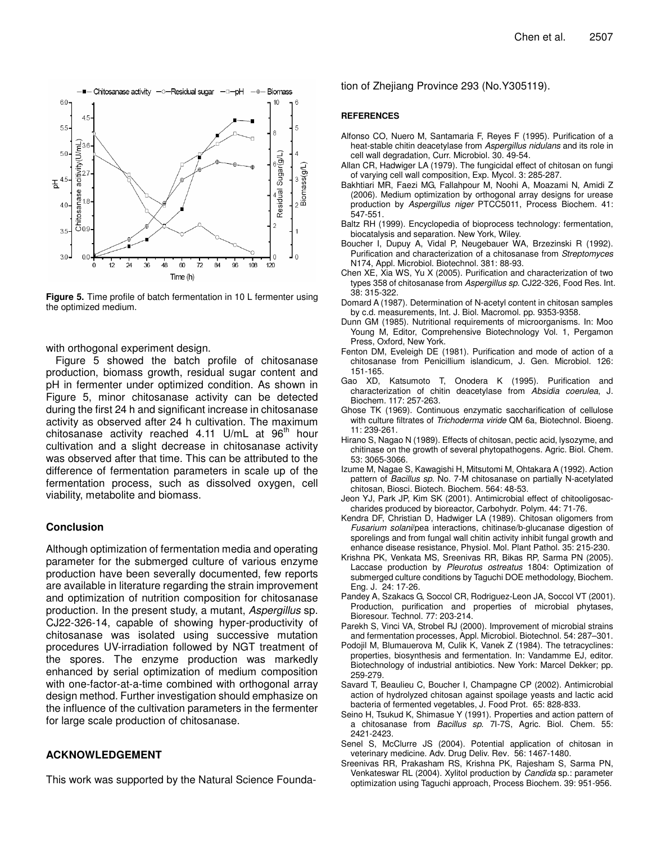

**Figure 5.** Time profile of batch fermentation in 10 L fermenter using the optimized medium.

with orthogonal experiment design.

Figure 5 showed the batch profile of chitosanase production, biomass growth, residual sugar content and pH in fermenter under optimized condition. As shown in Figure 5, minor chitosanase activity can be detected during the first 24 h and significant increase in chitosanase activity as observed after 24 h cultivation. The maximum chitosanase activity reached 4.11 U/mL at 96<sup>th</sup> hour cultivation and a slight decrease in chitosanase activity was observed after that time. This can be attributed to the difference of fermentation parameters in scale up of the fermentation process, such as dissolved oxygen, cell viability, metabolite and biomass.

## **Conclusion**

Although optimization of fermentation media and operating parameter for the submerged culture of various enzyme production have been severally documented, few reports are available in literature regarding the strain improvement and optimization of nutrition composition for chitosanase production. In the present study, a mutant, *Aspergillus* sp. CJ22-326-14, capable of showing hyper-productivity of chitosanase was isolated using successive mutation procedures UV-irradiation followed by NGT treatment of the spores. The enzyme production was markedly enhanced by serial optimization of medium composition with one-factor-at-a-time combined with orthogonal array design method. Further investigation should emphasize on the influence of the cultivation parameters in the fermenter for large scale production of chitosanase.

## **ACKNOWLEDGEMENT**

This work was supported by the Natural Science Founda-

tion of Zhejiang Province 293 (No.Y305119).

#### **REFERENCES**

- Alfonso CO, Nuero M, Santamaria F, Reyes F (1995). Purification of a heat-stable chitin deacetylase from *Aspergillus nidulans* and its role in cell wall degradation, Curr. Microbiol. 30. 49-54.
- Allan CR, Hadwiger LA (1979). The fungicidal effect of chitosan on fungi of varying cell wall composition, Exp. Mycol*.* 3: 285-287.
- Bakhtiari MR, Faezi MG, Fallahpour M, Noohi A, Moazami N, Amidi Z (2006). Medium optimization by orthogonal array designs for urease production by *Aspergillus niger* PTCC5011, Process Biochem*.* 41: 547-551.
- Baltz RH (1999). Encyclopedia of bioprocess technology: fermentation, biocatalysis and separation. New York, Wiley.
- Boucher I, Dupuy A, Vidal P, Neugebauer WA, Brzezinski R (1992). Purification and characterization of a chitosanase from *Streptomyces* N174, Appl. Microbiol. Biotechnol*.* 381: 88-93.
- Chen XE, Xia WS, Yu X (2005). Purification and characterization of two types 358 of chitosanase from *Aspergillus sp.* CJ22-326, Food Res. Int*.* 38: 315-322.
- Domard A (1987). Determination of N-acetyl content in chitosan samples by c.d. measurements, Int. J. Biol. Macromol. pp. 9353-9358.
- Dunn GM (1985). Nutritional requirements of microorganisms. In: Moo Young M, Editor, Comprehensive Biotechnology Vol. 1, Pergamon Press, Oxford, New York.
- Fenton DM, Eveleigh DE (1981). Purification and mode of action of a chitosanase from Penicillium islandicum, J. Gen. Microbiol*.* 126: 151-165.
- Gao XD, Katsumoto T, Onodera K (1995). Purification and characterization of chitin deacetylase from *Absidia coerulea*, J. Biochem*.* 117: 257-263.
- Ghose TK (1969). Continuous enzymatic saccharification of cellulose with culture filtrates of *Trichoderma viride* QM 6a, Biotechnol. Bioeng*.* 11: 239-261.
- Hirano S, Nagao N (1989). Effects of chitosan, pectic acid, lysozyme, and chitinase on the growth of several phytopathogens. Agric. Biol. Chem*.* 53: 3065-3066.
- Izume M, Nagae S, Kawagishi H, Mitsutomi M, Ohtakara A (1992). Action pattern of *Bacillus sp.* No. 7-M chitosanase on partially N-acetylated chitosan, Biosci. Biotech. Biochem*.* 564: 48-53.
- Jeon YJ, Park JP, Kim SK (2001). Antimicrobial effect of chitooligosaccharides produced by bioreactor, Carbohydr. Polym. 44: 71-76.
- Kendra DF, Christian D, Hadwiger LA (1989). Chitosan oligomers from *Fusarium solani*/pea interactions, chitinase/b-glucanase digestion of sporelings and from fungal wall chitin activity inhibit fungal growth and enhance disease resistance, Physiol. Mol. Plant Pathol. 35: 215-230.
- Krishna PK, Venkata MS, Sreenivas RR, Bikas RP, Sarma PN (2005). Laccase production by *Pleurotus ostreatus* 1804: Optimization of submerged culture conditions by Taguchi DOE methodology, Biochem. Eng. J. 24: 17-26.
- Pandey A, Szakacs G, Soccol CR, Rodriguez-Leon JA, Soccol VT (2001). Production, purification and properties of microbial phytases, Bioresour. Technol. 77: 203-214.
- Parekh S, Vinci VA, Strobel RJ (2000). Improvement of microbial strains and fermentation processes, Appl. Microbiol. Biotechnol*.* 54: 287–301.
- Podojil M, Blumauerova M, Culik K, Vanek Z (1984). The tetracyclines: properties, biosynthesis and fermentation. In: Vandamme EJ, editor. Biotechnology of industrial antibiotics. New York: Marcel Dekker; pp. 259-279.
- Savard T, Beaulieu C, Boucher I, Champagne CP (2002). Antimicrobial action of hydrolyzed chitosan against spoilage yeasts and lactic acid bacteria of fermented vegetables, J. Food Prot. 65: 828-833.
- Seino H, Tsukud K, Shimasue Y (1991). Properties and action pattern of a chitosanase from *Bacillus sp*. 7I-7S, Agric. Biol. Chem. 55: 2421-2423.
- Senel S, McClurre JS (2004). Potential application of chitosan in veterinary medicine. Adv. Drug Deliv. Rev*.* 56: 1467-1480.
- Sreenivas RR, Prakasham RS, Krishna PK, Rajesham S, Sarma PN, Venkateswar RL (2004). Xylitol production by *Candida* sp.: parameter optimization using Taguchi approach, Process Biochem*.* 39: 951-956.